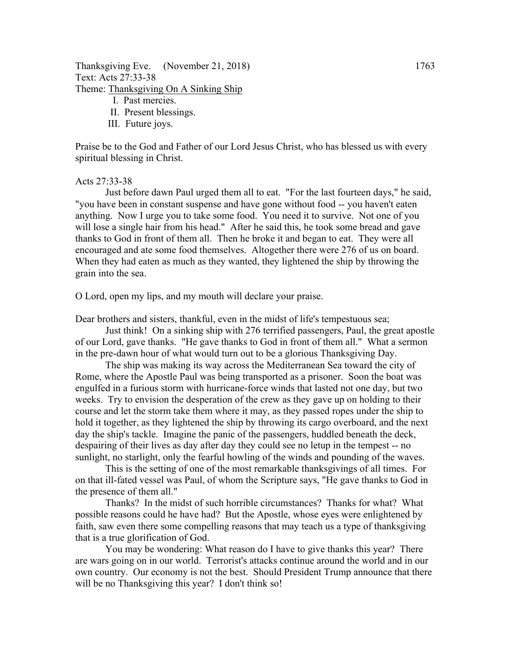Thanksgiving Eve. (November 21, 2018) 1763 Text: Acts 27:33-38 Theme: Thanksgiving On A Sinking Ship

- I. Past mercies.
- II. Present blessings.
- III. Future joys.

Praise be to the God and Father of our Lord Jesus Christ, who has blessed us with every spiritual blessing in Christ.

## Acts 27:33-38

Just before dawn Paul urged them all to eat. "For the last fourteen days," he said, "you have been in constant suspense and have gone without food -- you haven't eaten anything. Now I urge you to take some food. You need it to survive. Not one of you will lose a single hair from his head." After he said this, he took some bread and gave thanks to God in front of them all. Then he broke it and began to eat. They were all encouraged and ate some food themselves. Altogether there were 276 of us on board. When they had eaten as much as they wanted, they lightened the ship by throwing the grain into the sea.

O Lord, open my lips, and my mouth will declare your praise.

Dear brothers and sisters, thankful, even in the midst of life's tempestuous sea;

Just think! On a sinking ship with 276 terrified passengers, Paul, the great apostle of our Lord, gave thanks. "He gave thanks to God in front of them all." What a sermon in the pre-dawn hour of what would turn out to be a glorious Thanksgiving Day.

The ship was making its way across the Mediterranean Sea toward the city of Rome, where the Apostle Paul was being transported as a prisoner. Soon the boat was engulfed in a furious storm with hurricane-force winds that lasted not one day, but two weeks. Try to envision the desperation of the crew as they gave up on holding to their course and let the storm take them where it may, as they passed ropes under the ship to hold it together, as they lightened the ship by throwing its cargo overboard, and the next day the ship's tackle. Imagine the panic of the passengers, huddled beneath the deck, despairing of their lives as day after day they could see no letup in the tempest -- no sunlight, no starlight, only the fearful howling of the winds and pounding of the waves.

This is the setting of one of the most remarkable thanksgivings of all times. For on that ill-fated vessel was Paul, of whom the Scripture says, "He gave thanks to God in the presence of them all."

Thanks? In the midst of such horrible circumstances? Thanks for what? What possible reasons could he have had? But the Apostle, whose eyes were enlightened by faith, saw even there some compelling reasons that may teach us a type of thanksgiving that is a true glorification of God.

You may be wondering: What reason do I have to give thanks this year? There are wars going on in our world. Terrorist's attacks continue around the world and in our own country. Our economy is not the best. Should President Trump announce that there will be no Thanksgiving this year? I don't think so!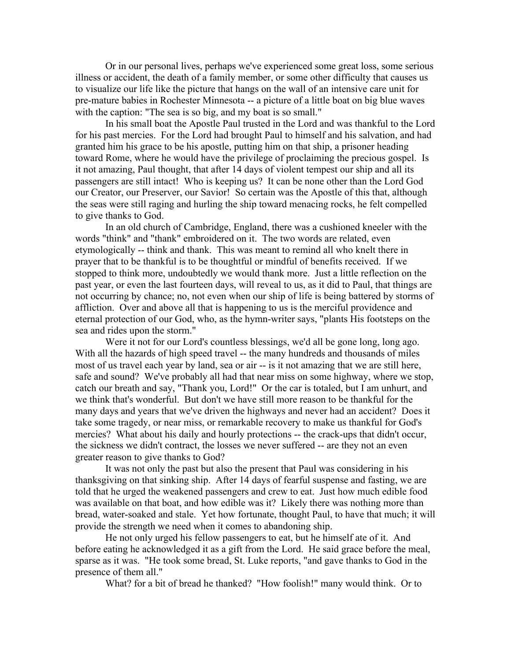Or in our personal lives, perhaps we've experienced some great loss, some serious illness or accident, the death of a family member, or some other difficulty that causes us to visualize our life like the picture that hangs on the wall of an intensive care unit for pre-mature babies in Rochester Minnesota -- a picture of a little boat on big blue waves with the caption: "The sea is so big, and my boat is so small."

In his small boat the Apostle Paul trusted in the Lord and was thankful to the Lord for his past mercies. For the Lord had brought Paul to himself and his salvation, and had granted him his grace to be his apostle, putting him on that ship, a prisoner heading toward Rome, where he would have the privilege of proclaiming the precious gospel. Is it not amazing, Paul thought, that after 14 days of violent tempest our ship and all its passengers are still intact! Who is keeping us? It can be none other than the Lord God our Creator, our Preserver, our Savior! So certain was the Apostle of this that, although the seas were still raging and hurling the ship toward menacing rocks, he felt compelled to give thanks to God.

In an old church of Cambridge, England, there was a cushioned kneeler with the words "think" and "thank" embroidered on it. The two words are related, even etymologically -- think and thank. This was meant to remind all who knelt there in prayer that to be thankful is to be thoughtful or mindful of benefits received. If we stopped to think more, undoubtedly we would thank more. Just a little reflection on the past year, or even the last fourteen days, will reveal to us, as it did to Paul, that things are not occurring by chance; no, not even when our ship of life is being battered by storms of affliction. Over and above all that is happening to us is the merciful providence and eternal protection of our God, who, as the hymn-writer says, "plants His footsteps on the sea and rides upon the storm."

Were it not for our Lord's countless blessings, we'd all be gone long, long ago. With all the hazards of high speed travel -- the many hundreds and thousands of miles most of us travel each year by land, sea or air -- is it not amazing that we are still here, safe and sound? We've probably all had that near miss on some highway, where we stop, catch our breath and say, "Thank you, Lord!" Or the car is totaled, but I am unhurt, and we think that's wonderful. But don't we have still more reason to be thankful for the many days and years that we've driven the highways and never had an accident? Does it take some tragedy, or near miss, or remarkable recovery to make us thankful for God's mercies? What about his daily and hourly protections -- the crack-ups that didn't occur, the sickness we didn't contract, the losses we never suffered -- are they not an even greater reason to give thanks to God?

It was not only the past but also the present that Paul was considering in his thanksgiving on that sinking ship. After 14 days of fearful suspense and fasting, we are told that he urged the weakened passengers and crew to eat. Just how much edible food was available on that boat, and how edible was it? Likely there was nothing more than bread, water-soaked and stale. Yet how fortunate, thought Paul, to have that much; it will provide the strength we need when it comes to abandoning ship.

He not only urged his fellow passengers to eat, but he himself ate of it. And before eating he acknowledged it as a gift from the Lord. He said grace before the meal, sparse as it was. "He took some bread, St. Luke reports, "and gave thanks to God in the presence of them all."

What? for a bit of bread he thanked? "How foolish!" many would think. Or to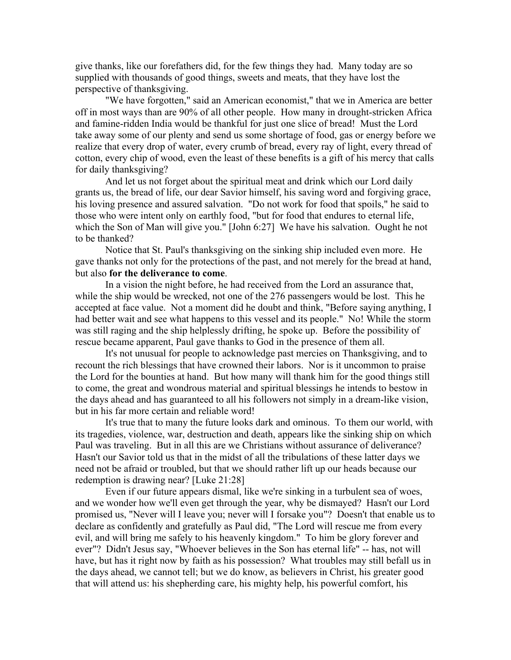give thanks, like our forefathers did, for the few things they had. Many today are so supplied with thousands of good things, sweets and meats, that they have lost the perspective of thanksgiving.

"We have forgotten," said an American economist," that we in America are better off in most ways than are 90% of all other people. How many in drought-stricken Africa and famine-ridden India would be thankful for just one slice of bread! Must the Lord take away some of our plenty and send us some shortage of food, gas or energy before we realize that every drop of water, every crumb of bread, every ray of light, every thread of cotton, every chip of wood, even the least of these benefits is a gift of his mercy that calls for daily thanksgiving?

And let us not forget about the spiritual meat and drink which our Lord daily grants us, the bread of life, our dear Savior himself, his saving word and forgiving grace, his loving presence and assured salvation. "Do not work for food that spoils," he said to those who were intent only on earthly food, "but for food that endures to eternal life, which the Son of Man will give you." [John 6:27] We have his salvation. Ought he not to be thanked?

Notice that St. Paul's thanksgiving on the sinking ship included even more. He gave thanks not only for the protections of the past, and not merely for the bread at hand, but also **for the deliverance to come**.

In a vision the night before, he had received from the Lord an assurance that, while the ship would be wrecked, not one of the 276 passengers would be lost. This he accepted at face value. Not a moment did he doubt and think, "Before saying anything, I had better wait and see what happens to this vessel and its people." No! While the storm was still raging and the ship helplessly drifting, he spoke up. Before the possibility of rescue became apparent, Paul gave thanks to God in the presence of them all.

It's not unusual for people to acknowledge past mercies on Thanksgiving, and to recount the rich blessings that have crowned their labors. Nor is it uncommon to praise the Lord for the bounties at hand. But how many will thank him for the good things still to come, the great and wondrous material and spiritual blessings he intends to bestow in the days ahead and has guaranteed to all his followers not simply in a dream-like vision, but in his far more certain and reliable word!

It's true that to many the future looks dark and ominous. To them our world, with its tragedies, violence, war, destruction and death, appears like the sinking ship on which Paul was traveling. But in all this are we Christians without assurance of deliverance? Hasn't our Savior told us that in the midst of all the tribulations of these latter days we need not be afraid or troubled, but that we should rather lift up our heads because our redemption is drawing near? [Luke 21:28]

Even if our future appears dismal, like we're sinking in a turbulent sea of woes, and we wonder how we'll even get through the year, why be dismayed? Hasn't our Lord promised us, "Never will I leave you; never will I forsake you"? Doesn't that enable us to declare as confidently and gratefully as Paul did, "The Lord will rescue me from every evil, and will bring me safely to his heavenly kingdom." To him be glory forever and ever"? Didn't Jesus say, "Whoever believes in the Son has eternal life" -- has, not will have, but has it right now by faith as his possession? What troubles may still befall us in the days ahead, we cannot tell; but we do know, as believers in Christ, his greater good that will attend us: his shepherding care, his mighty help, his powerful comfort, his